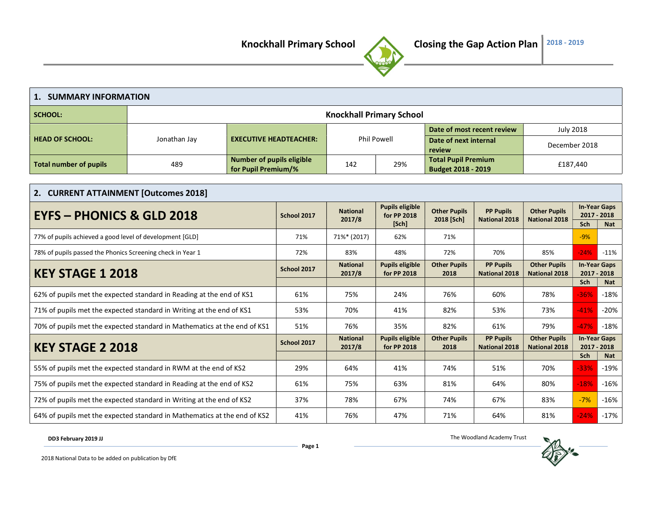

| 1. SUMMARY INFORMATION                                               |                                                                          |                                                         |                                                                                   |                                 |                                       |                                                  |                                             |                                             |                                    |            |
|----------------------------------------------------------------------|--------------------------------------------------------------------------|---------------------------------------------------------|-----------------------------------------------------------------------------------|---------------------------------|---------------------------------------|--------------------------------------------------|---------------------------------------------|---------------------------------------------|------------------------------------|------------|
| <b>SCHOOL:</b>                                                       |                                                                          |                                                         |                                                                                   | <b>Knockhall Primary School</b> |                                       |                                                  |                                             |                                             |                                    |            |
|                                                                      |                                                                          |                                                         |                                                                                   |                                 |                                       | Date of most recent review                       |                                             | <b>July 2018</b>                            |                                    |            |
| <b>HEAD OF SCHOOL:</b>                                               | Jonathan Jay                                                             | <b>EXECUTIVE HEADTEACHER:</b>                           |                                                                                   |                                 | <b>Phil Powell</b>                    | Date of next internal<br>review                  |                                             | December 2018                               |                                    |            |
| <b>Total number of pupils</b>                                        | 489                                                                      | <b>Number of pupils eligible</b><br>for Pupil Premium/% |                                                                                   | 142                             | 29%                                   | <b>Total Pupil Premium</b><br>Budget 2018 - 2019 |                                             | £187,440                                    |                                    |            |
|                                                                      |                                                                          |                                                         |                                                                                   |                                 |                                       |                                                  |                                             |                                             |                                    |            |
|                                                                      | 2. CURRENT ATTAINMENT [Outcomes 2018]                                    |                                                         |                                                                                   |                                 |                                       |                                                  |                                             |                                             |                                    |            |
| <b>EYFS - PHONICS &amp; GLD 2018</b>                                 |                                                                          |                                                         | <b>Pupils eligible</b><br><b>National</b><br>School 2017<br>for PP 2018<br>2017/8 |                                 | <b>Other Pupils</b><br>2018 [Sch]     | <b>PP Pupils</b><br><b>National 2018</b>         | <b>Other Pupils</b><br><b>National 2018</b> | <b>In-Year Gaps</b><br>2017 - 2018          |                                    |            |
|                                                                      |                                                                          |                                                         |                                                                                   | [Sch]                           |                                       |                                                  |                                             | Sch                                         | <b>Nat</b>                         |            |
| 77% of pupils achieved a good level of development [GLD]             |                                                                          |                                                         | 71%                                                                               | 71%* (2017)                     | 62%                                   | 71%                                              |                                             |                                             | $-9%$                              |            |
| 78% of pupils passed the Phonics Screening check in Year 1           |                                                                          |                                                         | 72%                                                                               | 83%                             | 48%                                   | 72%                                              | 70%                                         | 85%                                         | $-24%$                             | $-11%$     |
| <b>KEY STAGE 1 2018</b>                                              |                                                                          |                                                         | School 2017                                                                       | <b>National</b><br>2017/8       | <b>Pupils eligible</b><br>for PP 2018 | <b>Other Pupils</b><br>2018                      | <b>PP Pupils</b><br><b>National 2018</b>    | <b>Other Pupils</b><br><b>National 2018</b> | <b>In-Year Gaps</b><br>2017 - 2018 |            |
|                                                                      |                                                                          |                                                         |                                                                                   |                                 |                                       |                                                  |                                             |                                             | Sch                                | <b>Nat</b> |
|                                                                      | 62% of pupils met the expected standard in Reading at the end of KS1     |                                                         | 61%                                                                               | 75%                             | 24%                                   | 76%                                              | 60%                                         | 78%                                         | $-36%$                             | $-18%$     |
|                                                                      | 71% of pupils met the expected standard in Writing at the end of KS1     |                                                         | 53%                                                                               | 70%                             | 41%                                   | 82%                                              | 53%                                         | 73%                                         | $-41%$                             | $-20%$     |
|                                                                      | 70% of pupils met the expected standard in Mathematics at the end of KS1 |                                                         | 51%                                                                               | 76%                             | 35%                                   | 82%                                              | 61%                                         | 79%                                         | $-47%$                             | $-18%$     |
| <b>KEY STAGE 2 2018</b>                                              |                                                                          |                                                         | School 2017                                                                       | <b>National</b><br>2017/8       | <b>Pupils eligible</b><br>for PP 2018 | <b>Other Pupils</b><br>2018                      | <b>PP Pupils</b><br><b>National 2018</b>    | <b>Other Pupils</b><br><b>National 2018</b> | <b>In-Year Gaps</b><br>2017 - 2018 |            |
|                                                                      |                                                                          |                                                         |                                                                                   |                                 |                                       |                                                  |                                             |                                             | Sch                                | <b>Nat</b> |
|                                                                      | 55% of pupils met the expected standard in RWM at the end of KS2         |                                                         | 29%                                                                               | 64%                             | 41%                                   | 74%                                              | 51%                                         | 70%                                         | $-33%$                             | $-19%$     |
| 75% of pupils met the expected standard in Reading at the end of KS2 |                                                                          |                                                         | 61%                                                                               | 75%                             | 63%                                   | 81%                                              | 64%                                         | 80%                                         | $-18%$                             | $-16%$     |
| 72% of pupils met the expected standard in Writing at the end of KS2 |                                                                          |                                                         | 37%                                                                               | 78%                             | 67%                                   | 74%                                              | 67%                                         | 83%                                         | $-7%$                              | $-16%$     |
|                                                                      | 64% of pupils met the expected standard in Mathematics at the end of KS2 |                                                         |                                                                                   |                                 | 47%                                   | 71%                                              | 64%                                         | 81%                                         | $-24%$                             | $-17%$     |

DD3 February 2019 JJ

The Woodland Academy Trust

2018 National Data to be added on publication by DfE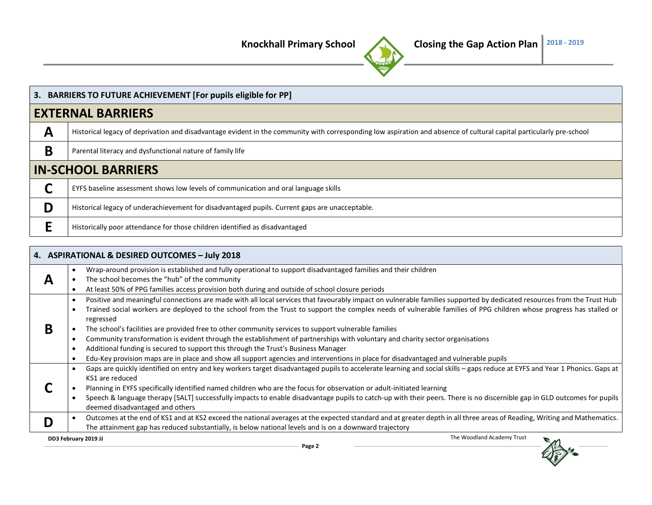

|   | 3. BARRIERS TO FUTURE ACHIEVEMENT [For pupils eligible for PP]                                                                                                       |
|---|----------------------------------------------------------------------------------------------------------------------------------------------------------------------|
|   | <b>EXTERNAL BARRIERS</b>                                                                                                                                             |
| A | Historical legacy of deprivation and disadvantage evident in the community with corresponding low aspiration and absence of cultural capital particularly pre-school |
| B | Parental literacy and dysfunctional nature of family life                                                                                                            |
|   | <b>IN-SCHOOL BARRIERS</b>                                                                                                                                            |
|   | EYFS baseline assessment shows low levels of communication and oral language skills                                                                                  |
| D | Historical legacy of underachievement for disadvantaged pupils. Current gaps are unacceptable.                                                                       |
|   | Historically poor attendance for those children identified as disadvantaged                                                                                          |

|   | 4. ASPIRATIONAL & DESIRED OUTCOMES - July 2018                                                                                                                              |
|---|-----------------------------------------------------------------------------------------------------------------------------------------------------------------------------|
|   | Wrap-around provision is established and fully operational to support disadvantaged families and their children                                                             |
| А | The school becomes the "hub" of the community                                                                                                                               |
|   | At least 50% of PPG families access provision both during and outside of school closure periods                                                                             |
|   | Positive and meaningful connections are made with all local services that favourably impact on vulnerable families supported by dedicated resources from the Trust Hub      |
|   | Trained social workers are deployed to the school from the Trust to support the complex needs of vulnerable families of PPG children whose progress has stalled or          |
|   | regressed                                                                                                                                                                   |
| B | The school's facilities are provided free to other community services to support vulnerable families                                                                        |
|   | Community transformation is evident through the establishment of partnerships with voluntary and charity sector organisations                                               |
|   | Additional funding is secured to support this through the Trust's Business Manager                                                                                          |
|   | Edu-Key provision maps are in place and show all support agencies and interventions in place for disadvantaged and vulnerable pupils                                        |
|   | Gaps are quickly identified on entry and key workers target disadvantaged pupils to accelerate learning and social skills - gaps reduce at EYFS and Year 1 Phonics. Gaps at |
|   | KS1 are reduced                                                                                                                                                             |
|   | Planning in EYFS specifically identified named children who are the focus for observation or adult-initiated learning                                                       |
|   | Speech & language therapy [SALT] successfully impacts to enable disadvantage pupils to catch-up with their peers. There is no discernible gap in GLD outcomes for pupils    |
|   | deemed disadvantaged and others                                                                                                                                             |
|   | Outcomes at the end of KS1 and at KS2 exceed the national averages at the expected standard and at greater depth in all three areas of Reading, Writing and Mathematics.    |
|   | The attainment gap has reduced substantially, is below national levels and is on a downward trajectory                                                                      |
|   | The Woodland Academy Trust<br>DD3 February 2019 JJ<br>$\sim$                                                                                                                |

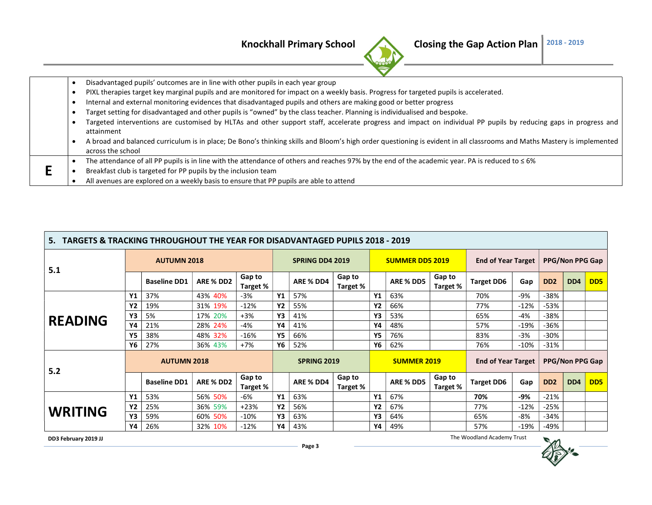

| Disadvantaged pupils' outcomes are in line with other pupils in each year group                                                                                         |
|-------------------------------------------------------------------------------------------------------------------------------------------------------------------------|
| PIXL therapies target key marginal pupils and are monitored for impact on a weekly basis. Progress for targeted pupils is accelerated.                                  |
| Internal and external monitoring evidences that disadvantaged pupils and others are making good or better progress                                                      |
| Target setting for disadvantaged and other pupils is "owned" by the class teacher. Planning is individualised and bespoke.                                              |
| Targeted interventions are customised by HLTAs and other support staff, accelerate progress and impact on individual PP pupils by reducing gaps in progress and         |
| attainment                                                                                                                                                              |
| A broad and balanced curriculum is in place; De Bono's thinking skills and Bloom's high order questioning is evident in all classrooms and Maths Mastery is implemented |
| across the school                                                                                                                                                       |
| The attendance of all PP pupils is in line with the attendance of others and reaches 97% by the end of the academic year. PA is reduced to $\leq 6\%$                   |
| Breakfast club is targeted for PP pupils by the inclusion team                                                                                                          |
| All avenues are explored on a weekly basis to ensure that PP pupils are able to attend                                                                                  |

| TARGETS & TRACKING THROUGHOUT THE YEAR FOR DISADVANTAGED PUPILS 2018 - 2019<br>5. |                    |                     |           |                    |           |                        |                    |           |                        |                    |                           |        |                             |                        |                             |
|-----------------------------------------------------------------------------------|--------------------|---------------------|-----------|--------------------|-----------|------------------------|--------------------|-----------|------------------------|--------------------|---------------------------|--------|-----------------------------|------------------------|-----------------------------|
| 5.1                                                                               |                    | <b>AUTUMN 2018</b>  |           |                    |           | <b>SPRING DD4 2019</b> |                    |           | <b>SUMMER DD5 2019</b> |                    | <b>End of Year Target</b> |        | <b>PPG/Non PPG Gap</b>      |                        |                             |
|                                                                                   |                    | <b>Baseline DD1</b> | ARE % DD2 | Gap to<br>Target % |           | ARE % DD4              | Gap to<br>Target % |           | ARE % DD5              | Gap to<br>Target % | <b>Target DD6</b>         | Gap    | D <sub>D</sub> <sub>2</sub> | DD <sub>4</sub>        | D <sub>D</sub> <sub>5</sub> |
|                                                                                   | Υ1                 | 37%                 | 43% 40%   | $-3%$              | <b>Y1</b> | 57%                    |                    | Y1        | 63%                    |                    | 70%                       | -9%    | $-38%$                      |                        |                             |
|                                                                                   | Υ2                 | 19%                 | 31% 19%   | $-12%$             | <b>Y2</b> | 55%                    |                    | <b>Y2</b> | 66%                    |                    | 77%                       | $-12%$ | $-53%$                      |                        |                             |
|                                                                                   | Y3                 | 5%                  | 17% 20%   | $+3%$              | Υ3        | 41%                    |                    | Y3        | 53%                    |                    | 65%                       | -4%    | $-38%$                      |                        |                             |
| <b>READING</b>                                                                    | Υ4                 | 21%                 | 28% 24%   | $-4%$              | Y4        | 41%                    |                    | Y4        | 48%                    |                    | 57%                       | $-19%$ | $-36%$                      |                        |                             |
|                                                                                   | Υ5                 | 38%                 | 48% 32%   | $-16%$             | <b>Y5</b> | 66%                    |                    | Υ5        | 76%                    |                    | 83%                       | -3%    | $-30%$                      |                        |                             |
|                                                                                   | Υ6                 | 27%                 | 36% 43%   | $+7%$              | Y6        | 52%                    |                    | Υ6        | 62%                    |                    | 76%                       | $-10%$ | $-31%$                      |                        |                             |
| 5.2                                                                               | <b>AUTUMN 2018</b> |                     |           |                    |           | <b>SPRING 2019</b>     |                    |           | <b>SUMMER 2019</b>     |                    | <b>End of Year Target</b> |        |                             | <b>PPG/Non PPG Gap</b> |                             |
|                                                                                   |                    | <b>Baseline DD1</b> | ARE % DD2 | Gap to<br>Target % |           | ARE % DD4              | Gap to<br>Target % |           | ARE % DD5              | Gap to<br>Target % | <b>Target DD6</b>         | Gap    | D <sub>D</sub> <sub>2</sub> | DD <sub>4</sub>        | D <sub>D</sub> <sub>5</sub> |
|                                                                                   | Y1                 | 53%                 | 56% 50%   | -6%                | <b>Y1</b> | 63%                    |                    | Y1        | 67%                    |                    | 70%                       | -9%    | $-21%$                      |                        |                             |
| <b>WRITING</b>                                                                    | Υ2                 | 25%                 | 36% 59%   | $+23%$             | <b>Y2</b> | 56%                    |                    | Y2        | 67%                    |                    | 77%                       | $-12%$ | $-25%$                      |                        |                             |
|                                                                                   | Y3                 | 59%                 | 60% 50%   | $-10%$             | Υ3        | 63%                    |                    | Y3        | 64%                    |                    | 65%                       | -8%    | $-34%$                      |                        |                             |
|                                                                                   | Υ4                 | 26%                 | 32% 10%   | $-12%$             | Υ4        | 43%                    |                    | Y4        | 49%                    |                    | 57%                       | $-19%$ | -49%                        |                        |                             |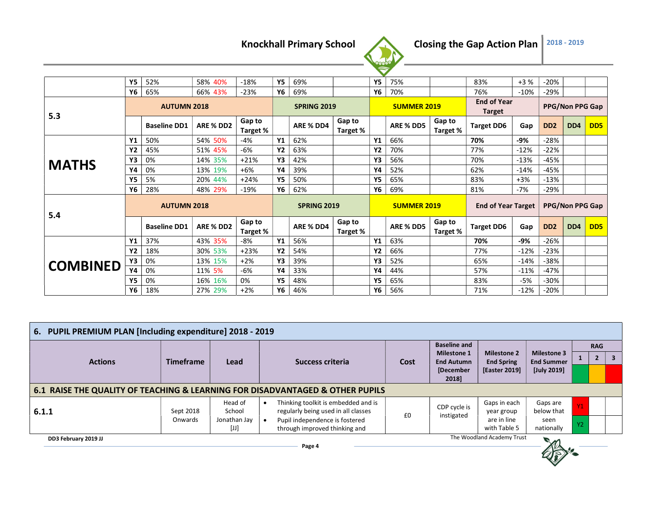

|                 | Υ5        | 52%                 | 58% 40%   | $-18%$             | <b>Y5</b>          | 69%                |                    | <b>Y5</b>          | 75%                |                    | 83%                                 | $+3%$  | $-20%$                      |                             |                 |
|-----------------|-----------|---------------------|-----------|--------------------|--------------------|--------------------|--------------------|--------------------|--------------------|--------------------|-------------------------------------|--------|-----------------------------|-----------------------------|-----------------|
|                 | Υ6        | 65%                 | 66% 43%   | $-23%$             | Υ6                 | 69%                |                    | Υ6                 | 70%                |                    | 76%                                 | $-10%$ | -29%                        |                             |                 |
| 5.3             |           | <b>AUTUMN 2018</b>  |           |                    |                    | <b>SPRING 2019</b> |                    |                    | <b>SUMMER 2019</b> |                    | <b>End of Year</b><br><b>Target</b> |        | PPG/Non PPG Gap             |                             |                 |
|                 |           | <b>Baseline DD1</b> | ARE % DD2 | Gap to<br>Target % |                    | ARE % DD4          | Gap to<br>Target % |                    | ARE % DD5          | Gap to<br>Target % | <b>Target DD6</b>                   | Gap    | D <sub>D</sub> <sub>2</sub> | D <sub>D</sub> <sub>4</sub> | DD <sub>5</sub> |
|                 | Υ1        | 50%                 | 54% 50%   | $-4%$              | Y1                 | 62%                |                    | <b>Y1</b>          | 66%                |                    | 70%                                 | -9%    | $-28%$                      |                             |                 |
|                 | Υ2        | 45%                 | 51% 45%   | -6%                | <b>Y2</b>          | 63%                |                    | Y2                 | 70%                |                    | 77%                                 | $-12%$ | $-22%$                      |                             |                 |
|                 | Y3        | 0%                  | 14% 35%   | $+21%$             | Y3                 | 42%                |                    | Y3                 | 56%                |                    | 70%                                 | $-13%$ | $-45%$                      |                             |                 |
| <b>MATHS</b>    | Υ4        | 0%                  | 13% 19%   | $+6%$              | Y4                 | 39%                |                    | Υ4                 | 52%                |                    | 62%                                 | $-14%$ | $-45%$                      |                             |                 |
|                 | Υ5        | 5%                  | 20% 44%   | $+24%$             | <b>Y5</b>          | 50%                |                    | <b>Y5</b>          | 65%                |                    | 83%                                 | $+3%$  | $-13%$                      |                             |                 |
|                 | Υ6        | 28%                 | 48% 29%   | $-19%$             | Υ6                 | 62%                |                    | Υ6                 | 69%                |                    | 81%                                 | $-7%$  | -29%                        |                             |                 |
| 5.4             |           | <b>AUTUMN 2018</b>  |           |                    | <b>SPRING 2019</b> |                    |                    | <b>SUMMER 2019</b> |                    |                    | <b>End of Year Target</b>           |        | <b>PPG/Non PPG Gap</b>      |                             |                 |
|                 |           | <b>Baseline DD1</b> | ARE % DD2 | Gap to<br>Target % |                    | ARE % DD4          | Gap to<br>Target % |                    | ARE % DD5          | Gap to<br>Target % | <b>Target DD6</b>                   | Gap    | DD <sub>2</sub>             | DD <sub>4</sub>             | DD <sub>5</sub> |
|                 | Υ1        | 37%                 | 43% 35%   | -8%                | Y1                 | 56%                |                    | Υ1                 | 63%                |                    | 70%                                 | -9%    | $-26%$                      |                             |                 |
| <b>COMBINED</b> | <b>Y2</b> | 18%                 | 30% 53%   | $+23%$             | <b>Y2</b>          | 54%                |                    | <b>Y2</b>          | 66%                |                    | 77%                                 | $-12%$ | $-23%$                      |                             |                 |
|                 | Y3        | 0%                  | 13% 15%   | $+2%$              | Y3                 | 39%                |                    | Y3                 | 52%                |                    | 65%                                 | $-14%$ | -38%                        |                             |                 |
|                 | Υ4        | 0%                  | 11% 5%    | -6%                | Υ4                 | 33%                |                    | Υ4                 | 44%                |                    | 57%                                 | $-11%$ | -47%                        |                             |                 |
|                 | Υ5        | 0%                  | 16% 16%   | 0%                 | <b>Y5</b>          | 48%                |                    | <b>Y5</b>          | 65%                |                    | 83%                                 | -5%    | $-30%$                      |                             |                 |
|                 | Υ6        | 18%                 | 27% 29%   | $+2%$              | Υ6                 | 46%                |                    | Υ6                 | 56%                |                    | 71%                                 | $-12%$ | $-20%$                      |                             |                 |

| 6. PUPIL PREMIUM PLAN [Including expenditure] 2018 - 2019         |                                                                               |                                |                                                                            |      |                                         |                                         |                                         |           |            |              |  |  |  |
|-------------------------------------------------------------------|-------------------------------------------------------------------------------|--------------------------------|----------------------------------------------------------------------------|------|-----------------------------------------|-----------------------------------------|-----------------------------------------|-----------|------------|--------------|--|--|--|
|                                                                   |                                                                               |                                |                                                                            |      | <b>Baseline and</b>                     |                                         |                                         |           | <b>RAG</b> |              |  |  |  |
| <b>Actions</b>                                                    | <b>Timeframe</b>                                                              | <b>Lead</b>                    | Success criteria                                                           | Cost | <b>Milestone 1</b><br><b>End Autumn</b> | <b>Milestone 2</b><br><b>End Spring</b> | <b>Milestone 3</b><br><b>End Summer</b> |           |            | $\mathbf{3}$ |  |  |  |
|                                                                   |                                                                               |                                |                                                                            |      | [December<br>2018]                      | <b>[Easter 2019]</b>                    | [July 2019]                             |           |            |              |  |  |  |
|                                                                   | 6.1 RAISE THE QUALITY OF TEACHING & LEARNING FOR DISADVANTAGED & OTHER PUPILS |                                |                                                                            |      |                                         |                                         |                                         |           |            |              |  |  |  |
| 6.1.1                                                             | Sept 2018                                                                     | Head of<br>School              | Thinking toolkit is embedded and is<br>regularly being used in all classes | £0   | CDP cycle is<br>instigated              | Gaps in each<br>year group              | Gaps are<br>below that                  | Y1        |            |              |  |  |  |
|                                                                   | Onwards                                                                       | Jonathan Jay<br>$[\mathsf{U}]$ | Pupil independence is fostered<br>through improved thinking and            |      |                                         | are in line<br>with Table 5             | seen<br>nationally                      | <b>Y2</b> |            |              |  |  |  |
| The Woodland Academy Trust<br>DD3 February 2019 JJ<br>m<br>Dage A |                                                                               |                                |                                                                            |      |                                         |                                         |                                         |           |            |              |  |  |  |

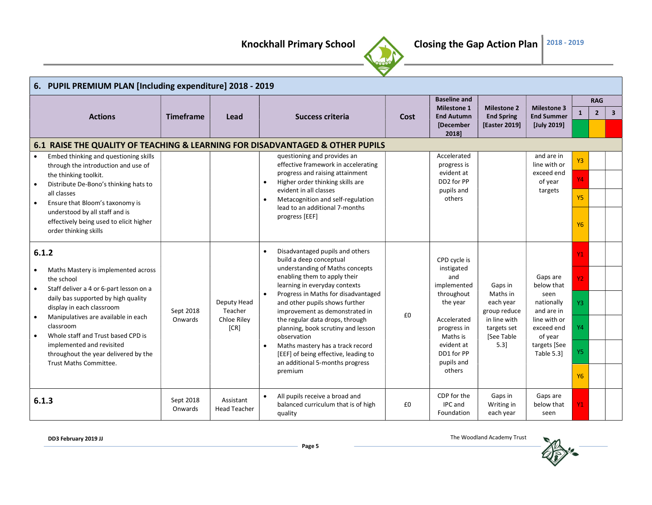

|                                                                                                                                                                                                                                                                                                                                                                                              | 6. PUPIL PREMIUM PLAN [Including expenditure] 2018 - 2019 |                                               |                                                                                                                                                                                                                                                                                                                                                                                                                                                                                                          |      |                                                                                                                                                                          |                                                                                                       |                                                                                                                                   |                                                     |                              |              |  |  |  |  |
|----------------------------------------------------------------------------------------------------------------------------------------------------------------------------------------------------------------------------------------------------------------------------------------------------------------------------------------------------------------------------------------------|-----------------------------------------------------------|-----------------------------------------------|----------------------------------------------------------------------------------------------------------------------------------------------------------------------------------------------------------------------------------------------------------------------------------------------------------------------------------------------------------------------------------------------------------------------------------------------------------------------------------------------------------|------|--------------------------------------------------------------------------------------------------------------------------------------------------------------------------|-------------------------------------------------------------------------------------------------------|-----------------------------------------------------------------------------------------------------------------------------------|-----------------------------------------------------|------------------------------|--------------|--|--|--|--|
| <b>Actions</b>                                                                                                                                                                                                                                                                                                                                                                               | <b>Timeframe</b>                                          | Lead                                          | <b>Success criteria</b>                                                                                                                                                                                                                                                                                                                                                                                                                                                                                  | Cost | <b>Baseline and</b><br><b>Milestone 1</b><br><b>End Autumn</b><br>[December<br>2018]                                                                                     | <b>Milestone 2</b><br><b>End Spring</b><br>[Easter 2019]                                              | <b>Milestone 3</b><br><b>End Summer</b><br>[July 2019]                                                                            | 1                                                   | <b>RAG</b><br>$\overline{2}$ | $\mathbf{3}$ |  |  |  |  |
| 6.1 RAISE THE QUALITY OF TEACHING & LEARNING FOR DISADVANTAGED & OTHER PUPILS                                                                                                                                                                                                                                                                                                                |                                                           |                                               |                                                                                                                                                                                                                                                                                                                                                                                                                                                                                                          |      |                                                                                                                                                                          |                                                                                                       |                                                                                                                                   |                                                     |                              |              |  |  |  |  |
| Embed thinking and questioning skills<br>through the introduction and use of<br>the thinking toolkit.<br>Distribute De-Bono's thinking hats to<br>all classes<br>Ensure that Bloom's taxonomy is<br>$\bullet$<br>understood by all staff and is<br>effectively being used to elicit higher<br>order thinking skills                                                                          |                                                           |                                               | questioning and provides an<br>effective framework in accelerating<br>progress and raising attainment<br>Higher order thinking skills are<br>$\bullet$<br>evident in all classes<br>Metacognition and self-regulation<br>lead to an additional 7-months<br>progress [EEF]                                                                                                                                                                                                                                |      | Accelerated<br>progress is<br>evident at<br>DD2 for PP<br>pupils and<br>others                                                                                           |                                                                                                       | and are in<br>line with or<br>exceed end<br>of year<br>targets                                                                    | Y3<br>Y4<br><b>Y5</b><br><b>Y6</b>                  |                              |              |  |  |  |  |
| 6.1.2<br>Maths Mastery is implemented across<br>the school<br>Staff deliver a 4 or 6-part lesson on a<br>$\bullet$<br>daily bas supported by high quality<br>display in each classroom<br>Manipulatives are available in each<br>classroom<br>Whole staff and Trust based CPD is<br>$\bullet$<br>implemented and revisited<br>throughout the year delivered by the<br>Trust Maths Committee. | Sept 2018<br>Onwards                                      | Deputy Head<br>Teacher<br>Chloe Riley<br>[CR] | Disadvantaged pupils and others<br>$\bullet$<br>build a deep conceptual<br>understanding of Maths concepts<br>enabling them to apply their<br>learning in everyday contexts<br>Progress in Maths for disadvantaged<br>and other pupils shows further<br>improvement as demonstrated in<br>the regular data drops, through<br>planning, book scrutiny and lesson<br>observation<br>Maths mastery has a track record<br>[EEF] of being effective, leading to<br>an additional 5-months progress<br>premium | £0   | CPD cycle is<br>instigated<br>and<br>implemented<br>throughout<br>the year<br>Accelerated<br>progress in<br>Maths is<br>evident at<br>DD1 for PP<br>pupils and<br>others | Gaps in<br>Maths in<br>each year<br>group reduce<br>in line with<br>targets set<br>[See Table<br>5.31 | Gaps are<br>below that<br>seen<br>nationally<br>and are in<br>line with or<br>exceed end<br>of year<br>targets [See<br>Table 5.3] | Y1<br>Y <sub>2</sub><br>Y3<br>Y4<br>Y5<br><b>Y6</b> |                              |              |  |  |  |  |
| 6.1.3                                                                                                                                                                                                                                                                                                                                                                                        | Sept 2018<br>Onwards                                      | Assistant<br><b>Head Teacher</b>              | All pupils receive a broad and<br>balanced curriculum that is of high<br>quality                                                                                                                                                                                                                                                                                                                                                                                                                         | £0   | CDP for the<br>IPC and<br>Foundation                                                                                                                                     | Gaps in<br>Writing in<br>each year                                                                    | Gaps are<br>below that<br>seen                                                                                                    | Y <sub>1</sub>                                      |                              |              |  |  |  |  |

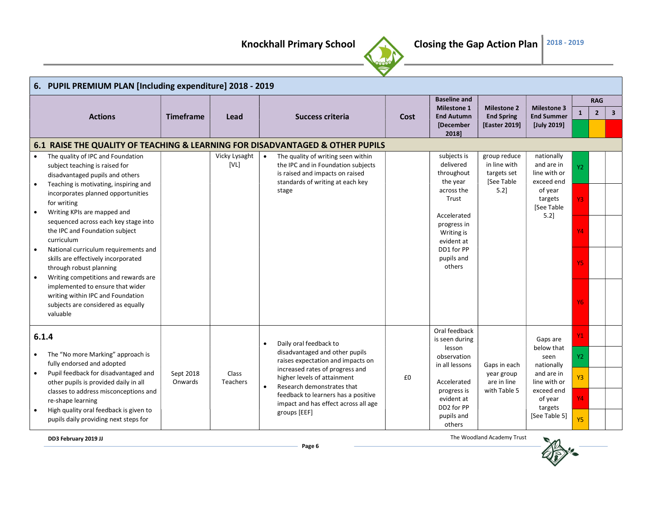

|           | 6. PUPIL PREMIUM PLAN [Including expenditure] 2018 - 2019                |                  |                       |                                                                               |      |                           |                              |                          |                |                |                         |  |  |  |
|-----------|--------------------------------------------------------------------------|------------------|-----------------------|-------------------------------------------------------------------------------|------|---------------------------|------------------------------|--------------------------|----------------|----------------|-------------------------|--|--|--|
|           |                                                                          |                  |                       |                                                                               |      | <b>Baseline and</b>       |                              |                          |                | <b>RAG</b>     |                         |  |  |  |
|           |                                                                          |                  |                       |                                                                               |      | <b>Milestone 1</b>        | <b>Milestone 2</b>           | <b>Milestone 3</b>       | 1              | $\overline{2}$ | $\overline{\mathbf{3}}$ |  |  |  |
|           | <b>Actions</b>                                                           | <b>Timeframe</b> | Lead                  | <b>Success criteria</b>                                                       | Cost | <b>End Autumn</b>         | <b>End Spring</b>            | <b>End Summer</b>        |                |                |                         |  |  |  |
|           |                                                                          |                  |                       |                                                                               |      | [December<br>2018]        | [Easter 2019]                | [July 2019]              |                |                |                         |  |  |  |
|           |                                                                          |                  |                       | 6.1 RAISE THE QUALITY OF TEACHING & LEARNING FOR DISADVANTAGED & OTHER PUPILS |      |                           |                              |                          |                |                |                         |  |  |  |
| $\bullet$ | The quality of IPC and Foundation                                        |                  | Vicky Lysaght<br>[VL] | The quality of writing seen within<br>$\bullet$                               |      | subjects is<br>delivered  | group reduce<br>in line with | nationally<br>and are in |                |                |                         |  |  |  |
|           | subject teaching is raised for                                           |                  |                       | the IPC and in Foundation subjects<br>is raised and impacts on raised         |      | throughout                | targets set                  | line with or             | Y2             |                |                         |  |  |  |
| $\bullet$ | disadvantaged pupils and others<br>Teaching is motivating, inspiring and |                  |                       | standards of writing at each key                                              |      | the year                  | [See Table                   | exceed end               |                |                |                         |  |  |  |
|           | incorporates planned opportunities                                       |                  |                       | stage                                                                         |      | across the                | 5.21                         | of year                  |                |                |                         |  |  |  |
|           | for writing                                                              |                  |                       |                                                                               |      | Trust                     |                              | targets                  | Y3             |                |                         |  |  |  |
| $\bullet$ | Writing KPIs are mapped and                                              |                  |                       |                                                                               |      |                           |                              | [See Table               |                |                |                         |  |  |  |
|           | sequenced across each key stage into                                     |                  |                       |                                                                               |      | Accelerated               |                              | $5.2$ ]                  |                |                |                         |  |  |  |
|           | the IPC and Foundation subject                                           |                  |                       |                                                                               |      | progress in<br>Writing is |                              |                          | Y4             |                |                         |  |  |  |
|           | curriculum                                                               |                  |                       |                                                                               |      | evident at                |                              |                          |                |                |                         |  |  |  |
|           | National curriculum requirements and                                     |                  |                       |                                                                               |      | DD1 for PP                |                              |                          |                |                |                         |  |  |  |
|           | skills are effectively incorporated                                      |                  |                       |                                                                               |      | pupils and                |                              |                          | Y5             |                |                         |  |  |  |
|           | through robust planning                                                  |                  |                       |                                                                               |      | others                    |                              |                          |                |                |                         |  |  |  |
|           | Writing competitions and rewards are                                     |                  |                       |                                                                               |      |                           |                              |                          |                |                |                         |  |  |  |
|           | implemented to ensure that wider                                         |                  |                       |                                                                               |      |                           |                              |                          |                |                |                         |  |  |  |
|           | writing within IPC and Foundation                                        |                  |                       |                                                                               |      |                           |                              |                          | <b>Y6</b>      |                |                         |  |  |  |
|           | subjects are considered as equally<br>valuable                           |                  |                       |                                                                               |      |                           |                              |                          |                |                |                         |  |  |  |
|           |                                                                          |                  |                       |                                                                               |      |                           |                              |                          |                |                |                         |  |  |  |
|           | 6.1.4                                                                    |                  |                       |                                                                               |      | Oral feedback             |                              |                          | Y <sub>1</sub> |                |                         |  |  |  |
|           |                                                                          |                  |                       | Daily oral feedback to<br>$\bullet$                                           |      | is seen during<br>lesson  |                              | Gaps are<br>below that   |                |                |                         |  |  |  |
|           | The "No more Marking" approach is                                        |                  |                       | disadvantaged and other pupils                                                |      | observation               |                              | seen                     | Y2             |                |                         |  |  |  |
|           | fully endorsed and adopted                                               |                  |                       | raises expectation and impacts on                                             |      | in all lessons            | Gaps in each                 | nationally               |                |                |                         |  |  |  |
| $\bullet$ | Pupil feedback for disadvantaged and                                     | Sept 2018        | Class                 | increased rates of progress and<br>higher levels of attainment                | £0   |                           | year group                   | and are in               | Y3             |                |                         |  |  |  |
|           | other pupils is provided daily in all                                    | Onwards          | <b>Teachers</b>       | Research demonstrates that                                                    |      | Accelerated               | are in line                  | line with or             |                |                |                         |  |  |  |
|           | classes to address misconceptions and                                    |                  |                       | feedback to learners has a positive                                           |      | progress is               | with Table 5                 | exceed end               | Y4             |                |                         |  |  |  |
|           | re-shape learning                                                        |                  |                       | impact and has effect across all age                                          |      | evident at<br>DD2 for PP  |                              | of year<br>targets       |                |                |                         |  |  |  |
|           | High quality oral feedback is given to                                   |                  |                       | groups [EEF]                                                                  |      | pupils and                |                              | [See Table 5]            |                |                |                         |  |  |  |
|           | pupils daily providing next steps for                                    |                  |                       |                                                                               |      | others                    |                              |                          | <b>Y5</b>      |                |                         |  |  |  |

DD3 February 2019 JJ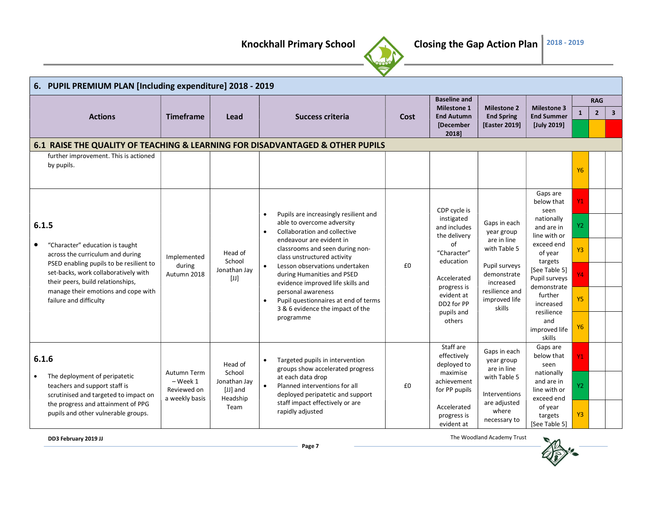

|                    | 6. PUPIL PREMIUM PLAN [Including expenditure] 2018 - 2019                |                       |                                   |                                                                                |      |                                         |                                         |                                         |                |                |                         |
|--------------------|--------------------------------------------------------------------------|-----------------------|-----------------------------------|--------------------------------------------------------------------------------|------|-----------------------------------------|-----------------------------------------|-----------------------------------------|----------------|----------------|-------------------------|
|                    |                                                                          |                       |                                   |                                                                                |      | <b>Baseline and</b>                     |                                         |                                         |                | <b>RAG</b>     |                         |
|                    | <b>Actions</b>                                                           | <b>Timeframe</b>      | Lead                              | <b>Success criteria</b>                                                        | Cost | <b>Milestone 1</b><br><b>End Autumn</b> | <b>Milestone 2</b><br><b>End Spring</b> | <b>Milestone 3</b><br><b>End Summer</b> |                | $\overline{2}$ | $\overline{\mathbf{3}}$ |
|                    |                                                                          |                       |                                   |                                                                                |      | [December                               | [Easter 2019]                           | [July 2019]                             |                |                |                         |
|                    |                                                                          |                       |                                   |                                                                                |      | 2018]                                   |                                         |                                         |                |                |                         |
|                    | further improvement. This is actioned                                    |                       |                                   | 6.1 RAISE THE QUALITY OF TEACHING & LEARNING FOR DISADVANTAGED & OTHER PUPILS  |      |                                         |                                         |                                         |                |                |                         |
|                    | by pupils.                                                               |                       |                                   |                                                                                |      |                                         |                                         |                                         |                |                |                         |
|                    |                                                                          |                       |                                   |                                                                                |      |                                         |                                         |                                         | <b>Y6</b>      |                |                         |
|                    |                                                                          |                       |                                   |                                                                                |      |                                         |                                         |                                         |                |                |                         |
|                    |                                                                          |                       |                                   |                                                                                |      |                                         |                                         | Gaps are<br>below that                  | <b>Y1</b>      |                |                         |
|                    |                                                                          |                       |                                   | Pupils are increasingly resilient and<br>$\bullet$                             |      | CDP cycle is                            |                                         | seen                                    |                |                |                         |
|                    |                                                                          |                       |                                   | able to overcome adversity                                                     |      | instigated                              | Gaps in each                            | nationally                              |                |                |                         |
| 6.1.5<br>$\bullet$ |                                                                          |                       |                                   | Collaboration and collective<br>$\bullet$                                      |      | and includes<br>the delivery            | year group                              | and are in<br>line with or              | Υ2             |                |                         |
|                    | "Character" education is taught                                          |                       |                                   | endeavour are evident in                                                       |      | of                                      | are in line                             | exceed end                              |                |                |                         |
|                    | across the curriculum and during                                         | Implemented<br>during | Head of<br>School<br>Jonathan Jay | classrooms and seen during non-<br>class unstructured activity                 |      | "Character"                             | with Table 5                            | of year                                 | <b>Y3</b>      |                |                         |
|                    | PSED enabling pupils to be resilient to                                  |                       |                                   | Lesson observations undertaken                                                 | £0   | education<br>Accelerated                | Pupil surveys<br>demonstrate            | targets<br>[See Table 5]                |                |                |                         |
|                    | set-backs, work collaboratively with                                     | Autumn 2018           | $[{\mathsf U}]$                   | during Humanities and PSED                                                     |      |                                         |                                         | Pupil surveys                           | <b>Y4</b>      |                |                         |
|                    | their peers, build relationships,<br>manage their emotions and cope with |                       |                                   | evidence improved life skills and<br>personal awareness                        |      | progress is                             | increased<br>resilience and             | demonstrate                             |                |                |                         |
|                    | failure and difficulty                                                   |                       |                                   | Pupil questionnaires at end of terms                                           |      | evident at<br>DD2 for PP                | improved life                           | further<br>increased                    | <b>Y5</b>      |                |                         |
|                    |                                                                          |                       |                                   | 3 & 6 evidence the impact of the                                               |      | pupils and                              | skills                                  | resilience                              |                |                |                         |
|                    |                                                                          |                       |                                   | programme                                                                      |      | others                                  |                                         | and                                     |                |                |                         |
|                    |                                                                          |                       |                                   |                                                                                |      |                                         |                                         | improved life<br>skills                 | <b>Y6</b>      |                |                         |
|                    |                                                                          |                       |                                   |                                                                                |      | Staff are                               |                                         | Gaps are                                |                |                |                         |
|                    | 6.1.6                                                                    |                       |                                   | Targeted pupils in intervention<br>$\bullet$                                   |      | effectively                             | Gaps in each<br>year group              | below that                              | <b>Y1</b>      |                |                         |
|                    |                                                                          | Autumn Term           | Head of<br>School                 | groups show accelerated progress                                               |      | deployed to<br>maximise                 | are in line                             | seen<br>nationally                      |                |                |                         |
|                    | The deployment of peripatetic                                            | $-$ Week 1            | Jonathan Jay                      | at each data drop                                                              |      | achievement                             | with Table 5                            | and are in                              |                |                |                         |
|                    | teachers and support staff is<br>scrutinised and targeted to impact on   | Reviewed on           | [JJ] and                          | Planned interventions for all<br>$\bullet$<br>deployed peripatetic and support | £0   | for PP pupils                           | Interventions                           | line with or                            | Y2             |                |                         |
|                    | the progress and attainment of PPG                                       | a weekly basis        | Headship<br>Team                  | staff impact effectively or are                                                |      | are adjusted                            | exceed end<br>of year                   |                                         |                |                |                         |
|                    | pupils and other vulnerable groups.                                      |                       |                                   | rapidly adjusted                                                               |      | Accelerated<br>progress is              | where                                   | targets                                 | Y <sub>3</sub> |                |                         |
|                    |                                                                          |                       |                                   |                                                                                |      | evident at                              | necessary to                            | [See Table 5]                           |                |                |                         |

DD3 February 2019 JJ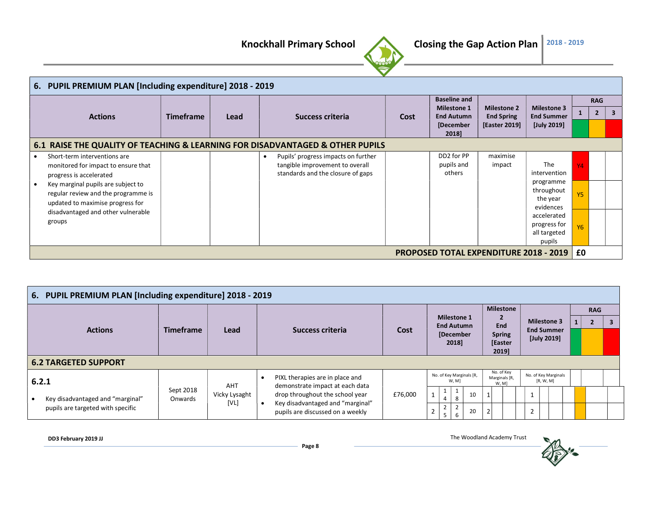

|                                                     | 6. PUPIL PREMIUM PLAN [Including expenditure] 2018 - 2019                                                                                                                                                       |                  |      |                                                                                                             |      |                                           |                      |                                                                    |                 |                |   |
|-----------------------------------------------------|-----------------------------------------------------------------------------------------------------------------------------------------------------------------------------------------------------------------|------------------|------|-------------------------------------------------------------------------------------------------------------|------|-------------------------------------------|----------------------|--------------------------------------------------------------------|-----------------|----------------|---|
|                                                     |                                                                                                                                                                                                                 |                  |      |                                                                                                             |      | <b>Baseline and</b><br><b>Milestone 1</b> | <b>Milestone 2</b>   | <b>Milestone 3</b>                                                 |                 | <b>RAG</b>     |   |
|                                                     | <b>Actions</b>                                                                                                                                                                                                  | <b>Timeframe</b> | Lead | <b>Success criteria</b>                                                                                     | Cost | <b>End Autumn</b>                         | <b>End Spring</b>    | <b>End Summer</b>                                                  |                 | $\overline{2}$ | 3 |
|                                                     |                                                                                                                                                                                                                 |                  |      |                                                                                                             |      | [December<br>2018]                        | <b>[Easter 2019]</b> | [July 2019]                                                        |                 |                |   |
|                                                     |                                                                                                                                                                                                                 |                  |      | 6.1 RAISE THE QUALITY OF TEACHING & LEARNING FOR DISADVANTAGED & OTHER PUPILS                               |      |                                           |                      |                                                                    |                 |                |   |
|                                                     | Short-term interventions are<br>monitored for impact to ensure that<br>progress is accelerated<br>Key marginal pupils are subject to<br>regular review and the programme is<br>updated to maximise progress for |                  |      | Pupils' progress impacts on further<br>tangible improvement to overall<br>standards and the closure of gaps |      | DD2 for PP<br>pupils and<br>others        | maximise<br>impact   | <b>The</b><br>intervention<br>programme<br>throughout<br>the year  | Y4<br><b>Y5</b> |                |   |
|                                                     | disadvantaged and other vulnerable<br>groups                                                                                                                                                                    |                  |      |                                                                                                             |      |                                           |                      | evidences<br>accelerated<br>progress for<br>all targeted<br>pupils | <b>Y6</b>       |                |   |
| £0<br><b>PROPOSED TOTAL EXPENDITURE 2018 - 2019</b> |                                                                                                                                                                                                                 |                  |      |                                                                                                             |      |                                           |                      |                                                                    |                 |                |   |

| 6. PUPIL PREMIUM PLAN [Including expenditure] 2018 - 2019 |                      |                       |                                                                     |         |                                         |                                           |                                   |  |            |   |  |  |
|-----------------------------------------------------------|----------------------|-----------------------|---------------------------------------------------------------------|---------|-----------------------------------------|-------------------------------------------|-----------------------------------|--|------------|---|--|--|
|                                                           |                      | <b>Lead</b>           |                                                                     |         | <b>Milestone 1</b><br><b>End Autumn</b> | <b>Milestone</b><br>$\overline{2}$<br>End | <b>Milestone 3</b>                |  | <b>RAG</b> | 3 |  |  |
| <b>Actions</b>                                            | <b>Timeframe</b>     |                       | Success criteria                                                    | Cost    | [December<br>2018]                      | <b>Spring</b><br>[Easter<br>2019]         | <b>End Summer</b><br>[July 2019]  |  |            |   |  |  |
| <b>6.2 TARGETED SUPPORT</b>                               |                      |                       |                                                                     |         |                                         |                                           |                                   |  |            |   |  |  |
| 6.2.1                                                     |                      | AHT                   | PIXL therapies are in place and<br>demonstrate impact at each data  |         | No. of Key Marginals [R,<br>W, M]       | No. of Key<br>Marginals [R,<br>W, M]      | No. of Key Marginals<br>[R, W, M] |  |            |   |  |  |
| Key disadvantaged and "marginal"                          | Sept 2018<br>Onwards | Vicky Lysaght<br>[VL] | drop throughout the school year<br>Key disadvantaged and "marginal" | £76,000 | 10<br>8<br>4                            |                                           |                                   |  |            |   |  |  |
| pupils are targeted with specific                         |                      |                       | pupils are discussed on a weekly                                    |         | 20<br>6                                 |                                           | $\mathbf{r}$<br>∠                 |  |            |   |  |  |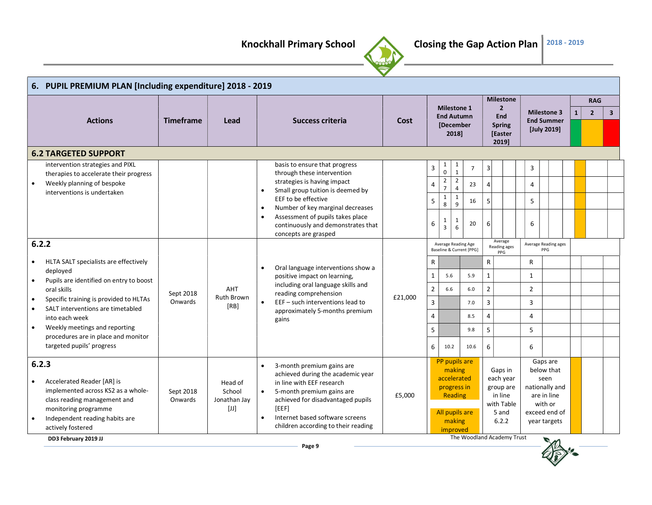

|           | 6. PUPIL PREMIUM PLAN [Including expenditure] 2018 - 2019            |                                                                  |                                                                                                                                                                                                                                                                                                                                                                                                                                                                                                                                                                                                                                                                                                                                                                                                                                                                                                                              |                                                                                          |         |                                                       |                           |                              |                          |                |                                    |                      |                                         |  |                |                |
|-----------|----------------------------------------------------------------------|------------------------------------------------------------------|------------------------------------------------------------------------------------------------------------------------------------------------------------------------------------------------------------------------------------------------------------------------------------------------------------------------------------------------------------------------------------------------------------------------------------------------------------------------------------------------------------------------------------------------------------------------------------------------------------------------------------------------------------------------------------------------------------------------------------------------------------------------------------------------------------------------------------------------------------------------------------------------------------------------------|------------------------------------------------------------------------------------------|---------|-------------------------------------------------------|---------------------------|------------------------------|--------------------------|----------------|------------------------------------|----------------------|-----------------------------------------|--|----------------|----------------|
|           |                                                                      |                                                                  |                                                                                                                                                                                                                                                                                                                                                                                                                                                                                                                                                                                                                                                                                                                                                                                                                                                                                                                              |                                                                                          |         |                                                       |                           | <b>Milestone 1</b>           |                          |                | <b>Milestone</b><br>$\overline{2}$ |                      |                                         |  | <b>RAG</b>     |                |
|           | <b>Actions</b>                                                       |                                                                  | Lead                                                                                                                                                                                                                                                                                                                                                                                                                                                                                                                                                                                                                                                                                                                                                                                                                                                                                                                         | <b>Success criteria</b>                                                                  | Cost    |                                                       |                           | <b>End Autumn</b>            |                          |                | <b>End</b>                         |                      | <b>Milestone 3</b><br><b>End Summer</b> |  | $\overline{2}$ | 3 <sup>1</sup> |
|           |                                                                      |                                                                  |                                                                                                                                                                                                                                                                                                                                                                                                                                                                                                                                                                                                                                                                                                                                                                                                                                                                                                                              |                                                                                          |         |                                                       |                           | [December<br>2018]           |                          |                | <b>Spring</b><br>[Easter<br>2019]  |                      | [July 2019]                             |  |                |                |
|           | <b>6.2 TARGETED SUPPORT</b>                                          |                                                                  |                                                                                                                                                                                                                                                                                                                                                                                                                                                                                                                                                                                                                                                                                                                                                                                                                                                                                                                              |                                                                                          |         |                                                       |                           |                              |                          |                |                                    |                      |                                         |  |                |                |
|           | intervention strategies and PIXL                                     |                                                                  |                                                                                                                                                                                                                                                                                                                                                                                                                                                                                                                                                                                                                                                                                                                                                                                                                                                                                                                              | basis to ensure that progress                                                            |         | 3                                                     | $\mathbf{1}$<br>$\pmb{0}$ | $\mathbf{1}$<br>$\mathbf{1}$ | $\overline{7}$           | $\mathsf 3$    |                                    | 3                    |                                         |  |                |                |
| $\bullet$ | therapies to accelerate their progress<br>Weekly planning of bespoke |                                                                  |                                                                                                                                                                                                                                                                                                                                                                                                                                                                                                                                                                                                                                                                                                                                                                                                                                                                                                                              | through these intervention<br>strategies is having impact                                |         |                                                       | $\overline{\mathbf{c}}$   | $\overline{2}$               |                          |                |                                    |                      |                                         |  |                |                |
|           | interventions is undertaken                                          |                                                                  |                                                                                                                                                                                                                                                                                                                                                                                                                                                                                                                                                                                                                                                                                                                                                                                                                                                                                                                              | Small group tuition is deemed by<br>$\bullet$                                            |         | 4                                                     | $\overline{7}$            | $\overline{4}$               | 23                       | $\overline{4}$ |                                    | $\overline{4}$       |                                         |  |                |                |
|           |                                                                      |                                                                  |                                                                                                                                                                                                                                                                                                                                                                                                                                                                                                                                                                                                                                                                                                                                                                                                                                                                                                                              | EEF to be effective<br>Number of key marginal decreases<br>$\bullet$                     |         | 5                                                     | $\mathbf{1}$<br>8         | $\mathbf{1}$<br>9            | 16                       | 5              |                                    | 5                    |                                         |  |                |                |
|           |                                                                      |                                                                  |                                                                                                                                                                                                                                                                                                                                                                                                                                                                                                                                                                                                                                                                                                                                                                                                                                                                                                                              | Assessment of pupils takes place<br>$\bullet$                                            |         |                                                       | 1                         | 1                            |                          |                |                                    |                      |                                         |  |                |                |
|           |                                                                      |                                                                  |                                                                                                                                                                                                                                                                                                                                                                                                                                                                                                                                                                                                                                                                                                                                                                                                                                                                                                                              | continuously and demonstrates that                                                       |         | 6                                                     | $\overline{3}$            | 6                            | 20                       | 6              |                                    | 6                    |                                         |  |                |                |
|           | 6.2.2                                                                |                                                                  |                                                                                                                                                                                                                                                                                                                                                                                                                                                                                                                                                                                                                                                                                                                                                                                                                                                                                                                              | concepts are grasped                                                                     |         |                                                       |                           | Average Reading Age          |                          |                | Average                            | Average Reading ages |                                         |  |                |                |
|           |                                                                      |                                                                  |                                                                                                                                                                                                                                                                                                                                                                                                                                                                                                                                                                                                                                                                                                                                                                                                                                                                                                                              |                                                                                          |         |                                                       |                           |                              | Baseline & Current [PPG] |                | Reading ages<br>PPG                |                      | PPG                                     |  |                |                |
| $\bullet$ | HLTA SALT specialists are effectively                                | <b>Timeframe</b><br>Sept 2018<br>Onwards<br>Sept 2018<br>Onwards |                                                                                                                                                                                                                                                                                                                                                                                                                                                                                                                                                                                                                                                                                                                                                                                                                                                                                                                              | Oral language interventions show a<br>$\bullet$                                          |         | R                                                     |                           |                              |                          | $\mathsf{R}$   |                                    | R                    |                                         |  |                |                |
| $\bullet$ | deployed<br>Pupils are identified on entry to boost                  |                                                                  |                                                                                                                                                                                                                                                                                                                                                                                                                                                                                                                                                                                                                                                                                                                                                                                                                                                                                                                              | positive impact on learning,                                                             |         | $\mathbf 1$                                           | 5.6                       |                              | 5.9                      | $\mathbf{1}$   |                                    | 1                    |                                         |  |                |                |
|           | oral skills                                                          |                                                                  | AHT                                                                                                                                                                                                                                                                                                                                                                                                                                                                                                                                                                                                                                                                                                                                                                                                                                                                                                                          | including oral language skills and<br>reading comprehension                              |         | $\mathbf 2$                                           | 6.6                       |                              | 6.0                      | $\overline{2}$ |                                    | $\overline{2}$       |                                         |  |                |                |
| $\bullet$ | Specific training is provided to HLTAs                               |                                                                  | <b>Ruth Brown</b><br>[RB]                                                                                                                                                                                                                                                                                                                                                                                                                                                                                                                                                                                                                                                                                                                                                                                                                                                                                                    | EEF - such interventions lead to<br>$\bullet$<br>approximately 5-months premium<br>gains | £21,000 | $\overline{3}$                                        |                           |                              | 7.0                      | $\overline{3}$ |                                    | 3                    |                                         |  |                |                |
| $\bullet$ | SALT interventions are timetabled<br>into each week                  |                                                                  |                                                                                                                                                                                                                                                                                                                                                                                                                                                                                                                                                                                                                                                                                                                                                                                                                                                                                                                              |                                                                                          |         | $\overline{4}$                                        |                           |                              | 8.5                      | $\overline{4}$ |                                    | 4                    |                                         |  |                |                |
| $\bullet$ | Weekly meetings and reporting                                        |                                                                  |                                                                                                                                                                                                                                                                                                                                                                                                                                                                                                                                                                                                                                                                                                                                                                                                                                                                                                                              |                                                                                          |         | 5                                                     |                           |                              | 9.8                      | 5              |                                    | 5                    |                                         |  |                |                |
|           | procedures are in place and monitor                                  |                                                                  |                                                                                                                                                                                                                                                                                                                                                                                                                                                                                                                                                                                                                                                                                                                                                                                                                                                                                                                              |                                                                                          |         |                                                       |                           |                              |                          |                |                                    |                      |                                         |  |                |                |
|           | targeted pupils' progress                                            |                                                                  |                                                                                                                                                                                                                                                                                                                                                                                                                                                                                                                                                                                                                                                                                                                                                                                                                                                                                                                              |                                                                                          |         | 6                                                     | 10.2                      |                              | 10.6                     | 6              |                                    | 6                    |                                         |  |                |                |
|           | 6.2.3                                                                |                                                                  |                                                                                                                                                                                                                                                                                                                                                                                                                                                                                                                                                                                                                                                                                                                                                                                                                                                                                                                              | 3-month premium gains are<br>$\bullet$<br>achieved during the academic year              |         | PP pupils are<br>making<br>accelerated<br>progress in |                           |                              |                          |                | Gaps in                            |                      | Gaps are<br>below that                  |  |                |                |
|           | Accelerated Reader [AR] is                                           |                                                                  | Head of                                                                                                                                                                                                                                                                                                                                                                                                                                                                                                                                                                                                                                                                                                                                                                                                                                                                                                                      | in line with EEF research                                                                |         |                                                       |                           |                              |                          |                | each year<br>group are             |                      | seen<br>nationally and                  |  |                |                |
|           | implemented across KS2 as a whole-<br>class reading management and   |                                                                  | School<br>Jonathan Jay                                                                                                                                                                                                                                                                                                                                                                                                                                                                                                                                                                                                                                                                                                                                                                                                                                                                                                       | 5-month premium gains are<br>achieved for disadvantaged pupils                           | £5,000  |                                                       |                           | Reading                      |                          |                | in line                            |                      | are in line                             |  |                |                |
|           | monitoring programme                                                 |                                                                  | $[JJ] % \centering \includegraphics[width=0.9\columnwidth]{figures/fig_10.pdf} \caption{The average number of times of the number of times. The number of times in the right, the number of times in the right, the number of times in the right, the number of times in the right, the number of times in the right, the number of times in the right, the number of times in the right, the number of times in the right, the number of times in the right, the number of times in the right, the number of times in the right, the number of times in the right, the number of times in the right, the number of times in the right, the number of times in the right, the number of times in the right, the number of times in the right, the number of times in the right, the number of times in the right, the number of times in the right, the number of times in the right, the number of times in the right, the$ | [EEF]                                                                                    |         |                                                       |                           | All pupils are               |                          |                | with Table<br>5 and                |                      | with or<br>exceed end of                |  |                |                |
|           | Independent reading habits are                                       |                                                                  |                                                                                                                                                                                                                                                                                                                                                                                                                                                                                                                                                                                                                                                                                                                                                                                                                                                                                                                              | Internet based software screens                                                          |         |                                                       |                           | making                       |                          |                | 6.2.2                              |                      | year targets                            |  |                |                |
|           | actively fostered                                                    |                                                                  |                                                                                                                                                                                                                                                                                                                                                                                                                                                                                                                                                                                                                                                                                                                                                                                                                                                                                                                              | children according to their reading                                                      |         |                                                       |                           | improved                     |                          |                |                                    |                      |                                         |  |                |                |
|           | DD3 February 2019 JJ                                                 |                                                                  |                                                                                                                                                                                                                                                                                                                                                                                                                                                                                                                                                                                                                                                                                                                                                                                                                                                                                                                              |                                                                                          |         |                                                       |                           |                              |                          |                | The Woodland Academy Trust         |                      | $\blacksquare$                          |  |                |                |

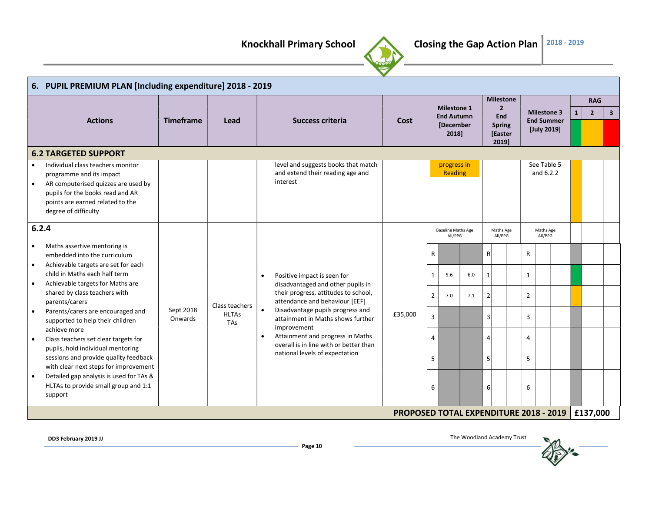

|           | 6. PUPIL PREMIUM PLAN [Including expenditure] 2018 - 2019 |                                          |                |                                                                        |                                               |                |                                         |     |                |                              |  |                |                      |              |                |                         |  |  |  |  |  |  |  |  |  |  |  |  |  |  |  |  |  |  |  |  |  |  |  |  |  |  |  |  |  |  |  |  |  |  |  |  |  |  |  |  |  |  |  |  |  |  |  |  |  |                                   |  |  |  |                                  |  |  |  |  |
|-----------|-----------------------------------------------------------|------------------------------------------|----------------|------------------------------------------------------------------------|-----------------------------------------------|----------------|-----------------------------------------|-----|----------------|------------------------------|--|----------------|----------------------|--------------|----------------|-------------------------|--|--|--|--|--|--|--|--|--|--|--|--|--|--|--|--|--|--|--|--|--|--|--|--|--|--|--|--|--|--|--|--|--|--|--|--|--|--|--|--|--|--|--|--|--|--|--|--|--|-----------------------------------|--|--|--|----------------------------------|--|--|--|--|
|           |                                                           |                                          |                |                                                                        |                                               |                |                                         |     |                | <b>Milestone</b>             |  |                |                      |              | <b>RAG</b>     |                         |  |  |  |  |  |  |  |  |  |  |  |  |  |  |  |  |  |  |  |  |  |  |  |  |  |  |  |  |  |  |  |  |  |  |  |  |  |  |  |  |  |  |  |  |  |  |  |  |  |                                   |  |  |  |                                  |  |  |  |  |
|           |                                                           |                                          |                |                                                                        |                                               |                | <b>Milestone 1</b><br><b>End Autumn</b> |     |                | $\overline{2}$<br><b>End</b> |  |                | <b>Milestone 3</b>   | $\mathbf{1}$ | $\overline{2}$ | $\overline{\mathbf{3}}$ |  |  |  |  |  |  |  |  |  |  |  |  |  |  |  |  |  |  |  |  |  |  |  |  |  |  |  |  |  |  |  |  |  |  |  |  |  |  |  |  |  |  |  |  |  |  |  |  |  |                                   |  |  |  |                                  |  |  |  |  |
|           | <b>Actions</b>                                            |                                          | Lead           | Success criteria                                                       | Cost                                          |                | [December<br>2018]                      |     |                |                              |  |                |                      |              |                |                         |  |  |  |  |  |  |  |  |  |  |  |  |  |  |  |  |  |  |  |  |  |  |  |  |  |  |  |  |  |  |  |  |  |  |  |  |  |  |  |  |  |  |  |  |  |  |  |  |  | <b>Spring</b><br>[Easter<br>20191 |  |  |  | <b>End Summer</b><br>[July 2019] |  |  |  |  |
|           | <b>6.2 TARGETED SUPPORT</b>                               |                                          |                |                                                                        |                                               |                |                                         |     |                |                              |  |                |                      |              |                |                         |  |  |  |  |  |  |  |  |  |  |  |  |  |  |  |  |  |  |  |  |  |  |  |  |  |  |  |  |  |  |  |  |  |  |  |  |  |  |  |  |  |  |  |  |  |  |  |  |  |                                   |  |  |  |                                  |  |  |  |  |
|           | Individual class teachers monitor                         |                                          |                | level and suggests books that match                                    |                                               |                | progress in                             |     |                |                              |  |                | See Table 5          |              |                |                         |  |  |  |  |  |  |  |  |  |  |  |  |  |  |  |  |  |  |  |  |  |  |  |  |  |  |  |  |  |  |  |  |  |  |  |  |  |  |  |  |  |  |  |  |  |  |  |  |  |                                   |  |  |  |                                  |  |  |  |  |
|           | programme and its impact                                  |                                          |                | and extend their reading age and                                       |                                               |                | Reading                                 |     |                |                              |  |                | and 6.2.2            |              |                |                         |  |  |  |  |  |  |  |  |  |  |  |  |  |  |  |  |  |  |  |  |  |  |  |  |  |  |  |  |  |  |  |  |  |  |  |  |  |  |  |  |  |  |  |  |  |  |  |  |  |                                   |  |  |  |                                  |  |  |  |  |
|           | AR computerised quizzes are used by                       |                                          |                | interest                                                               |                                               |                |                                         |     |                |                              |  |                |                      |              |                |                         |  |  |  |  |  |  |  |  |  |  |  |  |  |  |  |  |  |  |  |  |  |  |  |  |  |  |  |  |  |  |  |  |  |  |  |  |  |  |  |  |  |  |  |  |  |  |  |  |  |                                   |  |  |  |                                  |  |  |  |  |
|           | pupils for the books read and AR                          |                                          |                |                                                                        |                                               |                |                                         |     |                |                              |  |                |                      |              |                |                         |  |  |  |  |  |  |  |  |  |  |  |  |  |  |  |  |  |  |  |  |  |  |  |  |  |  |  |  |  |  |  |  |  |  |  |  |  |  |  |  |  |  |  |  |  |  |  |  |  |                                   |  |  |  |                                  |  |  |  |  |
|           | points are earned related to the                          |                                          |                |                                                                        |                                               |                |                                         |     |                |                              |  |                |                      |              |                |                         |  |  |  |  |  |  |  |  |  |  |  |  |  |  |  |  |  |  |  |  |  |  |  |  |  |  |  |  |  |  |  |  |  |  |  |  |  |  |  |  |  |  |  |  |  |  |  |  |  |                                   |  |  |  |                                  |  |  |  |  |
|           | degree of difficulty                                      |                                          |                |                                                                        |                                               |                |                                         |     |                |                              |  |                |                      |              |                |                         |  |  |  |  |  |  |  |  |  |  |  |  |  |  |  |  |  |  |  |  |  |  |  |  |  |  |  |  |  |  |  |  |  |  |  |  |  |  |  |  |  |  |  |  |  |  |  |  |  |                                   |  |  |  |                                  |  |  |  |  |
| 6.2.4     |                                                           |                                          |                |                                                                        | <b>Baseline Maths Age</b><br>All/PPG          |                |                                         |     |                |                              |  |                | Maths Age<br>All/PPG |              |                |                         |  |  |  |  |  |  |  |  |  |  |  |  |  |  |  |  |  |  |  |  |  |  |  |  |  |  |  |  |  |  |  |  |  |  |  |  |  |  |  |  |  |  |  |  |  |  |  |  |  |                                   |  |  |  |                                  |  |  |  |  |
| $\bullet$ | Maths assertive mentoring is                              |                                          |                |                                                                        |                                               |                |                                         |     |                |                              |  |                |                      |              |                |                         |  |  |  |  |  |  |  |  |  |  |  |  |  |  |  |  |  |  |  |  |  |  |  |  |  |  |  |  |  |  |  |  |  |  |  |  |  |  |  |  |  |  |  |  |  |  |  |  |  |                                   |  |  |  |                                  |  |  |  |  |
|           | embedded into the curriculum                              |                                          |                |                                                                        |                                               | $\mathsf{R}$   |                                         |     | $\mathsf{R}$   |                              |  | R              |                      |              |                |                         |  |  |  |  |  |  |  |  |  |  |  |  |  |  |  |  |  |  |  |  |  |  |  |  |  |  |  |  |  |  |  |  |  |  |  |  |  |  |  |  |  |  |  |  |  |  |  |  |  |                                   |  |  |  |                                  |  |  |  |  |
| $\bullet$ | Achievable targets are set for each                       | <b>Timeframe</b><br>Sept 2018<br>Onwards |                |                                                                        |                                               |                |                                         |     |                |                              |  |                |                      |              |                |                         |  |  |  |  |  |  |  |  |  |  |  |  |  |  |  |  |  |  |  |  |  |  |  |  |  |  |  |  |  |  |  |  |  |  |  |  |  |  |  |  |  |  |  |  |  |  |  |  |  |                                   |  |  |  |                                  |  |  |  |  |
|           | child in Maths each half term                             |                                          |                | Positive impact is seen for<br>$\bullet$                               |                                               | $\mathbf{1}$   | 5.6                                     | 6.0 | $\mathbf{1}$   |                              |  | $\mathbf{1}$   |                      |              |                |                         |  |  |  |  |  |  |  |  |  |  |  |  |  |  |  |  |  |  |  |  |  |  |  |  |  |  |  |  |  |  |  |  |  |  |  |  |  |  |  |  |  |  |  |  |  |  |  |  |  |                                   |  |  |  |                                  |  |  |  |  |
| $\bullet$ | Achievable targets for Maths are                          |                                          |                | disadvantaged and other pupils in                                      |                                               |                |                                         |     |                |                              |  |                |                      |              |                |                         |  |  |  |  |  |  |  |  |  |  |  |  |  |  |  |  |  |  |  |  |  |  |  |  |  |  |  |  |  |  |  |  |  |  |  |  |  |  |  |  |  |  |  |  |  |  |  |  |  |                                   |  |  |  |                                  |  |  |  |  |
|           | shared by class teachers with<br>parents/carers           |                                          | Class teachers | their progress, attitudes to school,<br>attendance and behaviour [EEF] |                                               | $\overline{2}$ | 7.0                                     | 7.1 | $\overline{2}$ |                              |  | $\overline{2}$ |                      |              |                |                         |  |  |  |  |  |  |  |  |  |  |  |  |  |  |  |  |  |  |  |  |  |  |  |  |  |  |  |  |  |  |  |  |  |  |  |  |  |  |  |  |  |  |  |  |  |  |  |  |  |                                   |  |  |  |                                  |  |  |  |  |
| $\bullet$ | Parents/carers are encouraged and                         |                                          | <b>HLTAs</b>   | Disadvantage pupils progress and<br>$\bullet$                          | £35,000                                       | $\overline{3}$ |                                         |     | 3              |                              |  | 3              |                      |              |                |                         |  |  |  |  |  |  |  |  |  |  |  |  |  |  |  |  |  |  |  |  |  |  |  |  |  |  |  |  |  |  |  |  |  |  |  |  |  |  |  |  |  |  |  |  |  |  |  |  |  |                                   |  |  |  |                                  |  |  |  |  |
|           | supported to help their children                          |                                          | <b>TAs</b>     | attainment in Maths shows further<br>improvement                       |                                               |                |                                         |     |                |                              |  |                |                      |              |                |                         |  |  |  |  |  |  |  |  |  |  |  |  |  |  |  |  |  |  |  |  |  |  |  |  |  |  |  |  |  |  |  |  |  |  |  |  |  |  |  |  |  |  |  |  |  |  |  |  |  |                                   |  |  |  |                                  |  |  |  |  |
| $\bullet$ | achieve more<br>Class teachers set clear targets for      |                                          |                | Attainment and progress in Maths<br>$\bullet$                          |                                               | $\overline{4}$ |                                         |     | $\overline{4}$ |                              |  | 4              |                      |              |                |                         |  |  |  |  |  |  |  |  |  |  |  |  |  |  |  |  |  |  |  |  |  |  |  |  |  |  |  |  |  |  |  |  |  |  |  |  |  |  |  |  |  |  |  |  |  |  |  |  |  |                                   |  |  |  |                                  |  |  |  |  |
|           | pupils, hold individual mentoring                         |                                          |                | overall is in line with or better than                                 |                                               |                |                                         |     |                |                              |  |                |                      |              |                |                         |  |  |  |  |  |  |  |  |  |  |  |  |  |  |  |  |  |  |  |  |  |  |  |  |  |  |  |  |  |  |  |  |  |  |  |  |  |  |  |  |  |  |  |  |  |  |  |  |  |                                   |  |  |  |                                  |  |  |  |  |
|           | sessions and provide quality feedback                     |                                          |                | national levels of expectation                                         |                                               | 5              |                                         |     | 5              |                              |  | 5              |                      |              |                |                         |  |  |  |  |  |  |  |  |  |  |  |  |  |  |  |  |  |  |  |  |  |  |  |  |  |  |  |  |  |  |  |  |  |  |  |  |  |  |  |  |  |  |  |  |  |  |  |  |  |                                   |  |  |  |                                  |  |  |  |  |
|           | with clear next steps for improvement                     |                                          |                |                                                                        |                                               |                |                                         |     |                |                              |  |                |                      |              |                |                         |  |  |  |  |  |  |  |  |  |  |  |  |  |  |  |  |  |  |  |  |  |  |  |  |  |  |  |  |  |  |  |  |  |  |  |  |  |  |  |  |  |  |  |  |  |  |  |  |  |                                   |  |  |  |                                  |  |  |  |  |
| $\bullet$ | Detailed gap analysis is used for TAs &                   |                                          |                |                                                                        |                                               |                |                                         |     |                |                              |  |                |                      |              |                |                         |  |  |  |  |  |  |  |  |  |  |  |  |  |  |  |  |  |  |  |  |  |  |  |  |  |  |  |  |  |  |  |  |  |  |  |  |  |  |  |  |  |  |  |  |  |  |  |  |  |                                   |  |  |  |                                  |  |  |  |  |
|           | HLTAs to provide small group and 1:1                      |                                          |                |                                                                        |                                               | 6              |                                         |     | 6              |                              |  | 6              |                      |              |                |                         |  |  |  |  |  |  |  |  |  |  |  |  |  |  |  |  |  |  |  |  |  |  |  |  |  |  |  |  |  |  |  |  |  |  |  |  |  |  |  |  |  |  |  |  |  |  |  |  |  |                                   |  |  |  |                                  |  |  |  |  |
|           | support                                                   |                                          |                |                                                                        |                                               |                |                                         |     |                |                              |  |                |                      |              |                |                         |  |  |  |  |  |  |  |  |  |  |  |  |  |  |  |  |  |  |  |  |  |  |  |  |  |  |  |  |  |  |  |  |  |  |  |  |  |  |  |  |  |  |  |  |  |  |  |  |  |                                   |  |  |  |                                  |  |  |  |  |
|           |                                                           |                                          |                |                                                                        | <b>PROPOSED TOTAL EXPENDITURE 2018 - 2019</b> |                |                                         |     |                |                              |  |                |                      |              | £137,000       |                         |  |  |  |  |  |  |  |  |  |  |  |  |  |  |  |  |  |  |  |  |  |  |  |  |  |  |  |  |  |  |  |  |  |  |  |  |  |  |  |  |  |  |  |  |  |  |  |  |  |                                   |  |  |  |                                  |  |  |  |  |
|           |                                                           |                                          |                |                                                                        |                                               |                |                                         |     |                |                              |  |                |                      |              |                |                         |  |  |  |  |  |  |  |  |  |  |  |  |  |  |  |  |  |  |  |  |  |  |  |  |  |  |  |  |  |  |  |  |  |  |  |  |  |  |  |  |  |  |  |  |  |  |  |  |  |                                   |  |  |  |                                  |  |  |  |  |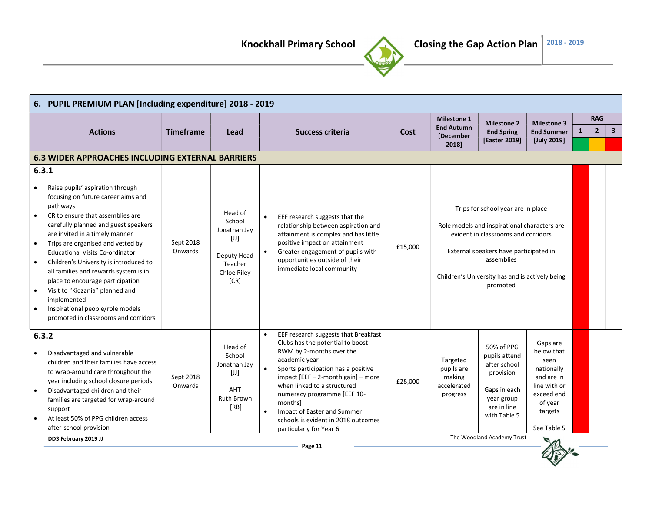

|                                                                            | 6. PUPIL PREMIUM PLAN [Including expenditure] 2018 - 2019                                                                                                                                                                                                                                                                                                                                                                                                                                                                            |                      |                                                                                           |                  |                                                                                                                                                                                                                                                                                                                                                                              |                                |                                                             |                                                                                                                                                                                                                                                  |                                                                                                                               |                |              |  |
|----------------------------------------------------------------------------|--------------------------------------------------------------------------------------------------------------------------------------------------------------------------------------------------------------------------------------------------------------------------------------------------------------------------------------------------------------------------------------------------------------------------------------------------------------------------------------------------------------------------------------|----------------------|-------------------------------------------------------------------------------------------|------------------|------------------------------------------------------------------------------------------------------------------------------------------------------------------------------------------------------------------------------------------------------------------------------------------------------------------------------------------------------------------------------|--------------------------------|-------------------------------------------------------------|--------------------------------------------------------------------------------------------------------------------------------------------------------------------------------------------------------------------------------------------------|-------------------------------------------------------------------------------------------------------------------------------|----------------|--------------|--|
|                                                                            |                                                                                                                                                                                                                                                                                                                                                                                                                                                                                                                                      |                      |                                                                                           |                  |                                                                                                                                                                                                                                                                                                                                                                              |                                | <b>Milestone 1</b>                                          | <b>Milestone 2</b>                                                                                                                                                                                                                               | <b>Milestone 3</b>                                                                                                            |                |              |  |
|                                                                            | <b>Actions</b>                                                                                                                                                                                                                                                                                                                                                                                                                                                                                                                       | <b>Timeframe</b>     | Lead                                                                                      | Success criteria | Cost                                                                                                                                                                                                                                                                                                                                                                         | <b>End Autumn</b><br>[December | <b>End Spring</b>                                           | <b>End Summer</b>                                                                                                                                                                                                                                | $\mathbf{1}$                                                                                                                  | $\overline{2}$ | $\mathbf{3}$ |  |
|                                                                            |                                                                                                                                                                                                                                                                                                                                                                                                                                                                                                                                      |                      |                                                                                           |                  |                                                                                                                                                                                                                                                                                                                                                                              |                                | 2018]                                                       | [Easter 2019]                                                                                                                                                                                                                                    | [July 2019]                                                                                                                   |                |              |  |
|                                                                            | <b>6.3 WIDER APPROACHES INCLUDING EXTERNAL BARRIERS</b>                                                                                                                                                                                                                                                                                                                                                                                                                                                                              |                      |                                                                                           |                  |                                                                                                                                                                                                                                                                                                                                                                              |                                |                                                             |                                                                                                                                                                                                                                                  |                                                                                                                               |                | <b>RAG</b>   |  |
| 6.3.1                                                                      |                                                                                                                                                                                                                                                                                                                                                                                                                                                                                                                                      |                      |                                                                                           |                  |                                                                                                                                                                                                                                                                                                                                                                              |                                |                                                             |                                                                                                                                                                                                                                                  |                                                                                                                               |                |              |  |
| $\bullet$<br>$\bullet$<br>$\bullet$<br>$\bullet$<br>$\bullet$<br>$\bullet$ | Raise pupils' aspiration through<br>focusing on future career aims and<br>pathways<br>CR to ensure that assemblies are<br>carefully planned and guest speakers<br>are invited in a timely manner<br>Trips are organised and vetted by<br><b>Educational Visits Co-ordinator</b><br>Children's University is introduced to<br>all families and rewards system is in<br>place to encourage participation<br>Visit to "Kidzania" planned and<br>implemented<br>Inspirational people/role models<br>promoted in classrooms and corridors | Sept 2018<br>Onwards | Head of<br>School<br>Jonathan Jay<br>[U]<br>Deputy Head<br>Teacher<br>Chloe Riley<br>[CR] |                  | EEF research suggests that the<br>relationship between aspiration and<br>attainment is complex and has little<br>positive impact on attainment<br>Greater engagement of pupils with<br>opportunities outside of their<br>immediate local community                                                                                                                           | £15,000                        |                                                             | Trips for school year are in place<br>Role models and inspirational characters are<br>evident in classrooms and corridors<br>External speakers have participated in<br>assemblies<br>Children's University has and is actively being<br>promoted |                                                                                                                               |                |              |  |
| 6.3.2<br>$\bullet$                                                         | Disadvantaged and vulnerable<br>children and their families have access<br>to wrap-around care throughout the<br>year including school closure periods<br>Disadvantaged children and their<br>families are targeted for wrap-around<br>support<br>At least 50% of PPG children access<br>after-school provision                                                                                                                                                                                                                      | Sept 2018<br>Onwards | Head of<br>School<br>Jonathan Jay<br>[U]<br>AHT<br><b>Ruth Brown</b><br>[RB]              | $\bullet$        | EEF research suggests that Breakfast<br>Clubs has the potential to boost<br>RWM by 2-months over the<br>academic year<br>Sports participation has a positive<br>impact [EEF - 2-month gain] - more<br>when linked to a structured<br>numeracy programme [EEF 10-<br>monthsl<br>Impact of Easter and Summer<br>schools is evident in 2018 outcomes<br>particularly for Year 6 | £28,000                        | Targeted<br>pupils are<br>making<br>accelerated<br>progress | 50% of PPG<br>pupils attend<br>after school<br>provision<br>Gaps in each<br>year group<br>are in line<br>with Table 5                                                                                                                            | Gaps are<br>below that<br>seen<br>nationally<br>and are in<br>line with or<br>exceed end<br>of year<br>targets<br>See Table 5 |                |              |  |
|                                                                            | DD3 February 2019 JJ                                                                                                                                                                                                                                                                                                                                                                                                                                                                                                                 |                      |                                                                                           |                  |                                                                                                                                                                                                                                                                                                                                                                              |                                |                                                             | The Woodland Academy Trust                                                                                                                                                                                                                       | $\blacksquare$                                                                                                                |                |              |  |

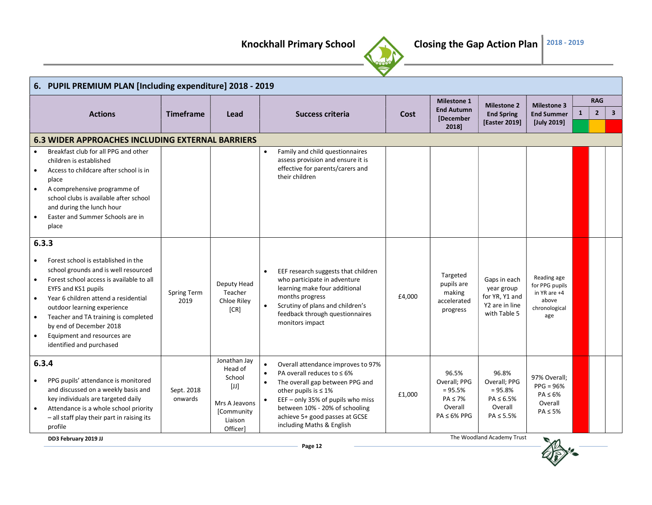

|                                     | 6. PUPIL PREMIUM PLAN [Including expenditure] 2018 - 2019                                                                                                                                                                                                                                                                                                    |                            |                                                                                                  |                                                                                                                                                                                                                                                                                            |        |                                                                                    |                                                                                     |                                                                                |   |                |                         |
|-------------------------------------|--------------------------------------------------------------------------------------------------------------------------------------------------------------------------------------------------------------------------------------------------------------------------------------------------------------------------------------------------------------|----------------------------|--------------------------------------------------------------------------------------------------|--------------------------------------------------------------------------------------------------------------------------------------------------------------------------------------------------------------------------------------------------------------------------------------------|--------|------------------------------------------------------------------------------------|-------------------------------------------------------------------------------------|--------------------------------------------------------------------------------|---|----------------|-------------------------|
|                                     |                                                                                                                                                                                                                                                                                                                                                              |                            |                                                                                                  |                                                                                                                                                                                                                                                                                            |        | <b>Milestone 1</b>                                                                 | <b>Milestone 2</b>                                                                  | <b>Milestone 3</b>                                                             |   | <b>RAG</b>     |                         |
|                                     | <b>Actions</b>                                                                                                                                                                                                                                                                                                                                               | <b>Timeframe</b>           | Lead                                                                                             | Success criteria                                                                                                                                                                                                                                                                           | Cost   | <b>End Autumn</b><br>[December                                                     | <b>End Spring</b>                                                                   | <b>End Summer</b>                                                              | 1 | $\overline{2}$ | $\overline{\mathbf{3}}$ |
|                                     |                                                                                                                                                                                                                                                                                                                                                              |                            |                                                                                                  |                                                                                                                                                                                                                                                                                            |        | 2018]                                                                              | <b>[Easter 2019]</b>                                                                | [July 2019]                                                                    |   |                |                         |
|                                     | <b>6.3 WIDER APPROACHES INCLUDING EXTERNAL BARRIERS</b>                                                                                                                                                                                                                                                                                                      |                            |                                                                                                  |                                                                                                                                                                                                                                                                                            |        |                                                                                    |                                                                                     |                                                                                |   |                |                         |
| $\bullet$<br>$\bullet$<br>$\bullet$ | Breakfast club for all PPG and other<br>children is established<br>Access to childcare after school is in<br>place<br>A comprehensive programme of<br>school clubs is available after school<br>and during the lunch hour<br>Easter and Summer Schools are in<br>place                                                                                       |                            |                                                                                                  | Family and child questionnaires<br>assess provision and ensure it is<br>effective for parents/carers and<br>their children                                                                                                                                                                 |        |                                                                                    |                                                                                     |                                                                                |   |                |                         |
| $\bullet$<br>$\bullet$              | 6.3.3<br>Forest school is established in the<br>school grounds and is well resourced<br>Forest school access is available to all<br>EYFS and KS1 pupils<br>Year 6 children attend a residential<br>outdoor learning experience<br>Teacher and TA training is completed<br>by end of December 2018<br>Equipment and resources are<br>identified and purchased | <b>Spring Term</b><br>2019 | Deputy Head<br>Teacher<br>Chloe Riley<br>[CR]                                                    | EEF research suggests that children<br>$\bullet$<br>who participate in adventure<br>learning make four additional<br>months progress<br>Scrutiny of plans and children's<br>feedback through questionnaires<br>monitors impact                                                             | £4,000 | Targeted<br>pupils are<br>making<br>accelerated<br>progress                        | Gaps in each<br>year group<br>for YR, Y1 and<br>Y2 are in line<br>with Table 5      | Reading age<br>for PPG pupils<br>in YR are +4<br>above<br>chronological<br>age |   |                |                         |
| ٠<br>$\bullet$                      | 6.3.4<br>PPG pupils' attendance is monitored<br>and discussed on a weekly basis and<br>key individuals are targeted daily<br>Attendance is a whole school priority<br>- all staff play their part in raising its<br>profile                                                                                                                                  | Sept. 2018<br>onwards      | Jonathan Jay<br>Head of<br>School<br>$[J]$<br>Mrs A Jeavons<br>[Community<br>Liaison<br>Officer] | $\bullet$<br>Overall attendance improves to 97%<br>PA overall reduces to $\leq 6\%$<br>The overall gap between PPG and<br>other pupils is $\leq 1\%$<br>EEF - only 35% of pupils who miss<br>between 10% - 20% of schooling<br>achieve 5+ good passes at GCSE<br>including Maths & English | £1,000 | 96.5%<br>Overall; PPG<br>$= 95.5%$<br>$PA \le 7\%$<br>Overall<br>$PA \leq 6\%$ PPG | 96.8%<br>Overall; PPG<br>$= 95.8%$<br>$PA \leq 6.5\%$<br>Overall<br>$PA \leq 5.5\%$ | 97% Overall:<br>$PPG = 96%$<br>$PA \leq 6\%$<br>Overall<br>$PA \leq 5\%$       |   |                |                         |
|                                     | DD3 February 2019 JJ                                                                                                                                                                                                                                                                                                                                         |                            |                                                                                                  |                                                                                                                                                                                                                                                                                            |        |                                                                                    | The Woodland Academy Trust                                                          | $\blacksquare$                                                                 |   |                |                         |

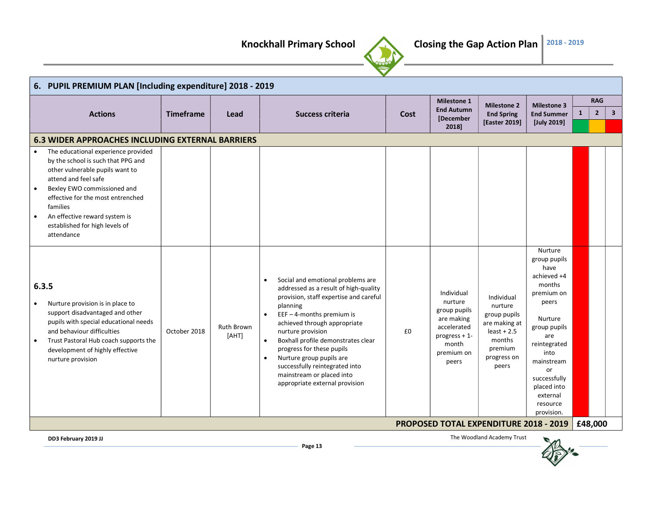

| 6. PUPIL PREMIUM PLAN [Including expenditure] 2018 - 2019                                                                                                                                                                                                                                                                                                                                                                                                                                                                                                                                                                                                                                                                                                                                                                                                                                                                                                                                                                                                                                                                                                                                                                                                                                                                                                                                                                                                                                     |                  |      |                  |      |                    |                                    |                                                                                                                  | <b>RAG</b><br>$\overline{2}$<br>$\mathbf{1}$<br>Nurture<br>have<br>months<br>peers<br>Nurture<br>are<br>into<br>or<br>external<br>resource |  |
|-----------------------------------------------------------------------------------------------------------------------------------------------------------------------------------------------------------------------------------------------------------------------------------------------------------------------------------------------------------------------------------------------------------------------------------------------------------------------------------------------------------------------------------------------------------------------------------------------------------------------------------------------------------------------------------------------------------------------------------------------------------------------------------------------------------------------------------------------------------------------------------------------------------------------------------------------------------------------------------------------------------------------------------------------------------------------------------------------------------------------------------------------------------------------------------------------------------------------------------------------------------------------------------------------------------------------------------------------------------------------------------------------------------------------------------------------------------------------------------------------|------------------|------|------------------|------|--------------------|------------------------------------|------------------------------------------------------------------------------------------------------------------|--------------------------------------------------------------------------------------------------------------------------------------------|--|
|                                                                                                                                                                                                                                                                                                                                                                                                                                                                                                                                                                                                                                                                                                                                                                                                                                                                                                                                                                                                                                                                                                                                                                                                                                                                                                                                                                                                                                                                                               |                  |      |                  |      | <b>Milestone 1</b> | <b>Milestone 2</b>                 | <b>Milestone 3</b><br>$\overline{\mathbf{3}}$<br><b>End Summer</b><br>[July 2019]<br>group pupils<br>achieved +4 |                                                                                                                                            |  |
| <b>Actions</b>                                                                                                                                                                                                                                                                                                                                                                                                                                                                                                                                                                                                                                                                                                                                                                                                                                                                                                                                                                                                                                                                                                                                                                                                                                                                                                                                                                                                                                                                                | <b>Timeframe</b> | Lead | Success criteria | Cost | [December          | <b>End Spring</b><br>[Easter 2019] |                                                                                                                  |                                                                                                                                            |  |
| <b>End Autumn</b><br>2018]<br><b>6.3 WIDER APPROACHES INCLUDING EXTERNAL BARRIERS</b><br>The educational experience provided<br>by the school is such that PPG and<br>other vulnerable pupils want to<br>attend and feel safe<br>Bexley EWO commissioned and<br>effective for the most entrenched<br>families<br>An effective reward system is<br>established for high levels of<br>attendance<br>Social and emotional problems are<br>$\bullet$<br>6.3.5<br>addressed as a result of high-quality<br>Individual<br>premium on<br>provision, staff expertise and careful<br>Individual<br>nurture<br>Nurture provision is in place to<br>planning<br>nurture<br>group pupils<br>support disadvantaged and other<br>EEF $-$ 4-months premium is<br>group pupils<br>$\bullet$<br>are making<br>pupils with special educational needs<br>achieved through appropriate<br>are making at<br>Ruth Brown<br>accelerated<br>group pupils<br>and behaviour difficulties<br>October 2018<br>£0<br>$least + 2.5$<br>nurture provision<br>[AHT]<br>progress + 1-<br>Boxhall profile demonstrates clear<br>months<br>Trust Pastoral Hub coach supports the<br>$\bullet$<br>month<br>reintegrated<br>progress for these pupils<br>premium<br>development of highly effective<br>premium on<br>Nurture group pupils are<br>progress on<br>nurture provision<br>mainstream<br>peers<br>successfully reintegrated into<br>peers<br>mainstream or placed into<br>successfully<br>appropriate external provision |                  |      |                  |      |                    |                                    |                                                                                                                  |                                                                                                                                            |  |
|                                                                                                                                                                                                                                                                                                                                                                                                                                                                                                                                                                                                                                                                                                                                                                                                                                                                                                                                                                                                                                                                                                                                                                                                                                                                                                                                                                                                                                                                                               |                  |      |                  |      |                    |                                    |                                                                                                                  |                                                                                                                                            |  |
|                                                                                                                                                                                                                                                                                                                                                                                                                                                                                                                                                                                                                                                                                                                                                                                                                                                                                                                                                                                                                                                                                                                                                                                                                                                                                                                                                                                                                                                                                               |                  |      |                  |      |                    |                                    | placed into<br>provision.                                                                                        |                                                                                                                                            |  |